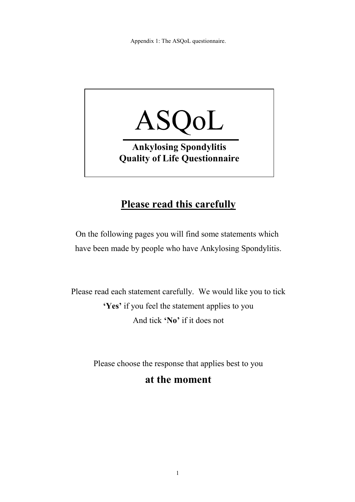Appendix 1: The ASQoL questionnaire.



## **Please read this carefully**

On the following pages you will find some statements which have been made by people who have Ankylosing Spondylitis.

Please read each statement carefully. We would like you to tick **'Yes'** if you feel the statement applies to you And tick **'No'** if it does not

Please choose the response that applies best to you

## **at the moment**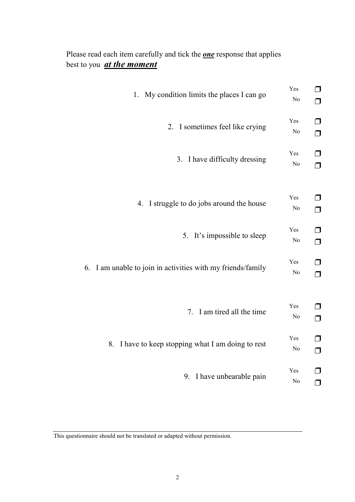Please read each item carefully and tick the *one* response that applies best to you *at the moment*

| My condition limits the places I can go                  | Yes                   | $\Box$           |
|----------------------------------------------------------|-----------------------|------------------|
| $1_{-}$                                                  | N <sub>o</sub>        | $\Box$           |
| 2. I sometimes feel like crying                          | Yes<br>N <sub>o</sub> | $\Box$<br>$\Box$ |
| I have difficulty dressing                               | Yes                   | $\Box$           |
| 3.                                                       | N <sub>o</sub>        | $\Box$           |
| 4. I struggle to do jobs around the house                | Yes<br>N <sub>o</sub> | $\Box$<br>$\Box$ |
| It's impossible to sleep                                 | Yes                   | $\Box$           |
| 5.                                                       | N <sub>o</sub>        | $\Box$           |
| I am unable to join in activities with my friends/family | Yes                   | ┓                |
| 6.                                                       | N <sub>o</sub>        | ▢                |
| 7. I am tired all the time                               | Yes<br>N <sub>o</sub> | $\Box$<br>$\Box$ |
| I have to keep stopping what I am doing to rest          | Yes                   | $\Box$           |
| 8.                                                       | N <sub>o</sub>        | $\Box$           |
| I have unbearable pain                                   | Yes                   | ┓                |
| 9.                                                       | N <sub>o</sub>        | $\Box$           |

This questionnaire should not be translated or adapted without permission.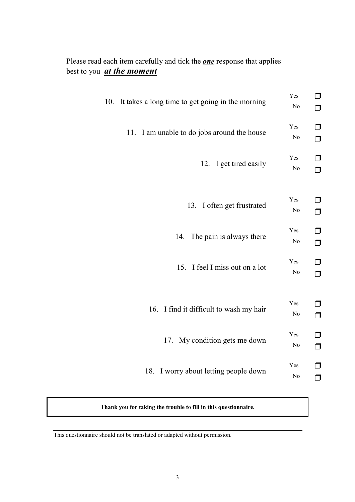## Please read each item carefully and tick the *one* response that applies best to you *at the moment*

| 10. It takes a long time to get going in the morning | Yes<br>No             | $\Box$<br>▢        |
|------------------------------------------------------|-----------------------|--------------------|
| I am unable to do jobs around the house<br>11.       | Yes<br>N <sub>o</sub> | $\Box$<br>$\Box$   |
| 12. I get tired easily                               | Yes<br>N <sub>o</sub> | □<br>$\Box$        |
| 13. I often get frustrated                           | Yes<br>N <sub>o</sub> | ▢<br>$\Box$        |
| 14. The pain is always there                         | Yes<br>N <sub>0</sub> | ⊓<br>$\Box$        |
| 15. I feel I miss out on a lot                       | Yes<br>N <sub>o</sub> | □<br>$\Box$        |
| 16. I find it difficult to wash my hair              | Yes<br>N <sub>o</sub> | $\sqcap$<br>$\Box$ |
| My condition gets me down<br>17.                     | Yes<br>N <sub>0</sub> | $\Box$<br>$\Box$   |
| I worry about letting people down<br>18.             | Yes<br>No             | ┓<br>$\sqcap$      |

**Thank you for taking the trouble to fill in this questionnaire.**

This questionnaire should not be translated or adapted without permission.